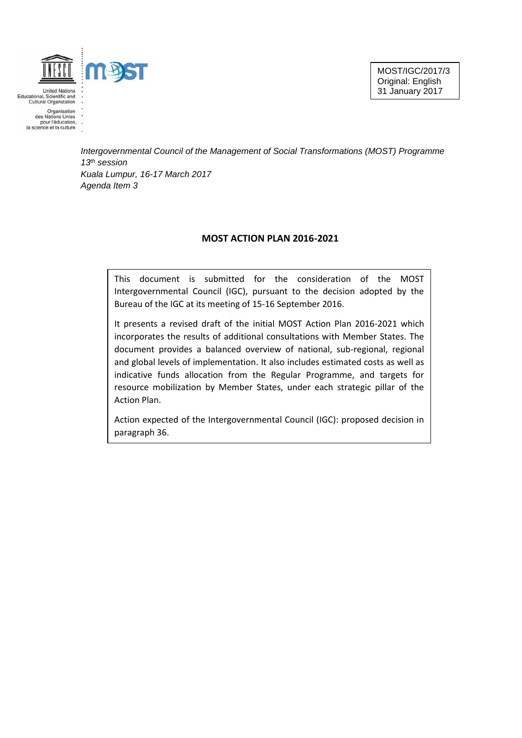

United Nations<br>Educational, Scientific and<br>Cultural Organization Organisation<br>des Nations Unies

des Nations Unies<br>pour l'éducation,<br>la science et la culture

*Intergovernmental Council of the Management of Social Transformations (MOST) Programme 13th session Kuala Lumpur, 16-17 March 2017 Agenda Item 3*

### **MOST ACTION PLAN 2016-2021**

This document is submitted for the consideration of the MOST Intergovernmental Council (IGC), pursuant to the decision adopted by the Bureau of the IGC at its meeting of 15-16 September 2016.

It presents a revised draft of the initial MOST Action Plan 2016-2021 which incorporates the results of additional consultations with Member States. The document provides a balanced overview of national, sub-regional, regional and global levels of implementation. It also includes estimated costs as well as indicative funds allocation from the Regular Programme, and targets for resource mobilization by Member States, under each strategic pillar of the Action Plan.

Action expected of the Intergovernmental Council (IGC): proposed decision in paragraph 36.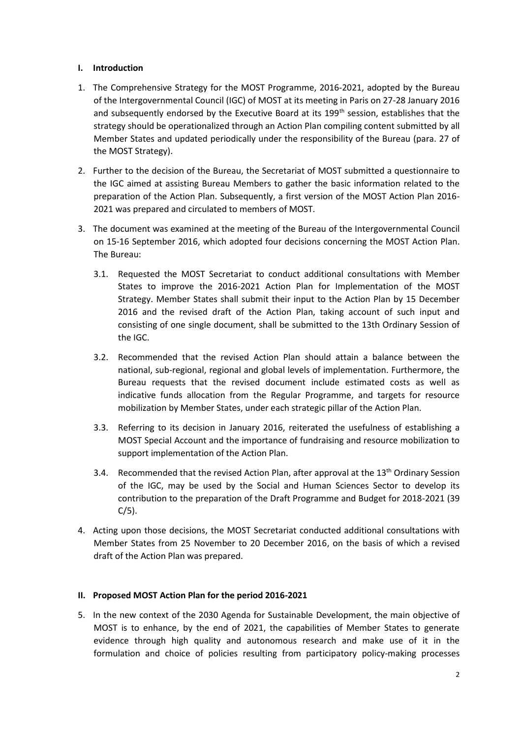### **I. Introduction**

- 1. The Comprehensive Strategy for the MOST Programme, 2016-2021, adopted by the Bureau of the Intergovernmental Council (IGC) of MOST at its meeting in Paris on 27-28 January 2016 and subsequently endorsed by the Executive Board at its 199<sup>th</sup> session, establishes that the strategy should be operationalized through an Action Plan compiling content submitted by all Member States and updated periodically under the responsibility of the Bureau (para. 27 of the MOST Strategy).
- 2. Further to the decision of the Bureau, the Secretariat of MOST submitted a questionnaire to the IGC aimed at assisting Bureau Members to gather the basic information related to the preparation of the Action Plan. Subsequently, a first version of the MOST Action Plan 2016- 2021 was prepared and circulated to members of MOST.
- 3. The document was examined at the meeting of the Bureau of the Intergovernmental Council on 15-16 September 2016, which adopted four decisions concerning the MOST Action Plan. The Bureau:
	- 3.1. Requested the MOST Secretariat to conduct additional consultations with Member States to improve the 2016-2021 Action Plan for Implementation of the MOST Strategy. Member States shall submit their input to the Action Plan by 15 December 2016 and the revised draft of the Action Plan, taking account of such input and consisting of one single document, shall be submitted to the 13th Ordinary Session of the IGC.
	- 3.2. Recommended that the revised Action Plan should attain a balance between the national, sub-regional, regional and global levels of implementation. Furthermore, the Bureau requests that the revised document include estimated costs as well as indicative funds allocation from the Regular Programme, and targets for resource mobilization by Member States, under each strategic pillar of the Action Plan.
	- 3.3. Referring to its decision in January 2016, reiterated the usefulness of establishing a MOST Special Account and the importance of fundraising and resource mobilization to support implementation of the Action Plan.
	- 3.4. Recommended that the revised Action Plan, after approval at the 13<sup>th</sup> Ordinary Session of the IGC, may be used by the Social and Human Sciences Sector to develop its contribution to the preparation of the Draft Programme and Budget for 2018-2021 (39  $C/5$ ).
- 4. Acting upon those decisions, the MOST Secretariat conducted additional consultations with Member States from 25 November to 20 December 2016, on the basis of which a revised draft of the Action Plan was prepared.

### **II. Proposed MOST Action Plan for the period 2016-2021**

5. In the new context of the 2030 Agenda for Sustainable Development, the main objective of MOST is to enhance, by the end of 2021, the capabilities of Member States to generate evidence through high quality and autonomous research and make use of it in the formulation and choice of policies resulting from participatory policy-making processes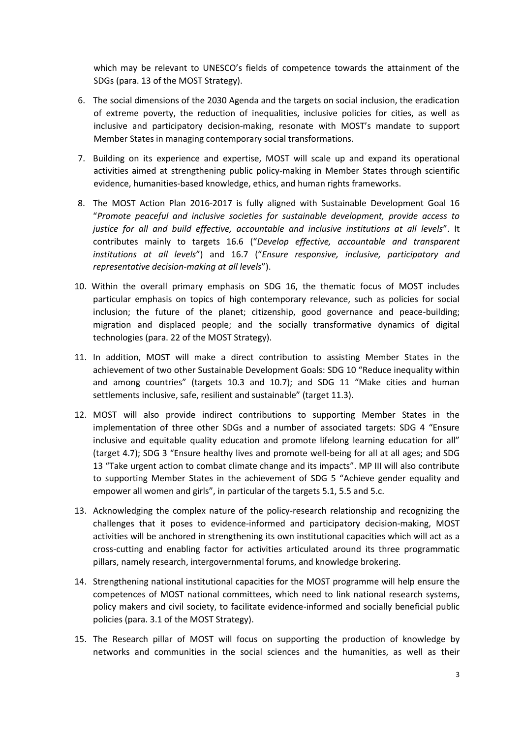which may be relevant to UNESCO's fields of competence towards the attainment of the SDGs (para. 13 of the MOST Strategy).

- 6. The social dimensions of the 2030 Agenda and the targets on social inclusion, the eradication of extreme poverty, the reduction of inequalities, inclusive policies for cities, as well as inclusive and participatory decision-making, resonate with MOST's mandate to support Member States in managing contemporary social transformations.
- 7. Building on its experience and expertise, MOST will scale up and expand its operational activities aimed at strengthening public policy-making in Member States through scientific evidence, humanities-based knowledge, ethics, and human rights frameworks.
- 8. The MOST Action Plan 2016-2017 is fully aligned with Sustainable Development Goal 16 "*Promote peaceful and inclusive societies for sustainable development, provide access to justice for all and build effective, accountable and inclusive institutions at all levels*". It contributes mainly to targets 16.6 ("*Develop effective, accountable and transparent institutions at all levels*") and 16.7 ("*Ensure responsive, inclusive, participatory and representative decision-making at all levels*").
- 10. Within the overall primary emphasis on SDG 16, the thematic focus of MOST includes particular emphasis on topics of high contemporary relevance, such as policies for social inclusion; the future of the planet; citizenship, good governance and peace-building; migration and displaced people; and the socially transformative dynamics of digital technologies (para. 22 of the MOST Strategy).
- 11. In addition, MOST will make a direct contribution to assisting Member States in the achievement of two other Sustainable Development Goals: SDG 10 "Reduce inequality within and among countries" (targets 10.3 and 10.7); and SDG 11 "Make cities and human settlements inclusive, safe, resilient and sustainable" (target 11.3).
- 12. MOST will also provide indirect contributions to supporting Member States in the implementation of three other SDGs and a number of associated targets: SDG 4 "Ensure inclusive and equitable quality education and promote lifelong learning education for all" (target 4.7); SDG 3 "Ensure healthy lives and promote well-being for all at all ages; and SDG 13 "Take urgent action to combat climate change and its impacts". MP III will also contribute to supporting Member States in the achievement of SDG 5 "Achieve gender equality and empower all women and girls", in particular of the targets 5.1, 5.5 and 5.c.
- 13. Acknowledging the complex nature of the policy-research relationship and recognizing the challenges that it poses to evidence-informed and participatory decision-making, MOST activities will be anchored in strengthening its own institutional capacities which will act as a cross-cutting and enabling factor for activities articulated around its three programmatic pillars, namely research, intergovernmental forums, and knowledge brokering.
- 14. Strengthening national institutional capacities for the MOST programme will help ensure the competences of MOST national committees, which need to link national research systems, policy makers and civil society, to facilitate evidence-informed and socially beneficial public policies (para. 3.1 of the MOST Strategy).
- 15. The Research pillar of MOST will focus on supporting the production of knowledge by networks and communities in the social sciences and the humanities, as well as their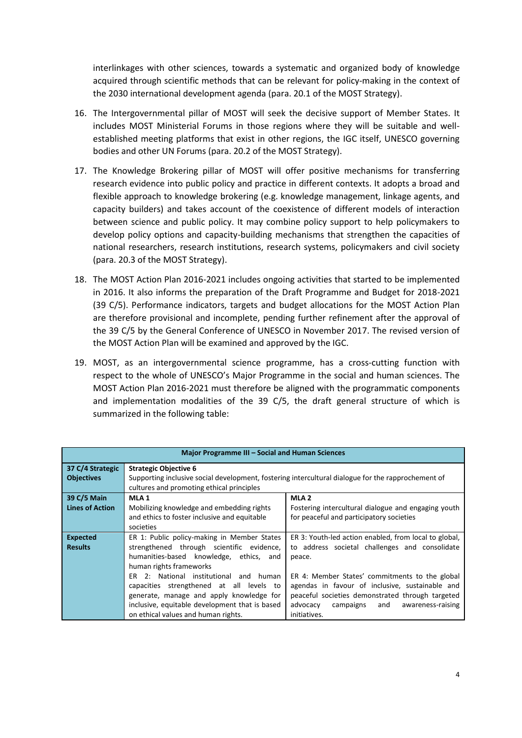interlinkages with other sciences, towards a systematic and organized body of knowledge acquired through scientific methods that can be relevant for policy-making in the context of the 2030 international development agenda (para. 20.1 of the MOST Strategy).

- 16. The Intergovernmental pillar of MOST will seek the decisive support of Member States. It includes MOST Ministerial Forums in those regions where they will be suitable and wellestablished meeting platforms that exist in other regions, the IGC itself, UNESCO governing bodies and other UN Forums (para. 20.2 of the MOST Strategy).
- 17. The Knowledge Brokering pillar of MOST will offer positive mechanisms for transferring research evidence into public policy and practice in different contexts. It adopts a broad and flexible approach to knowledge brokering (e.g. knowledge management, linkage agents, and capacity builders) and takes account of the coexistence of different models of interaction between science and public policy. It may combine policy support to help policymakers to develop policy options and capacity-building mechanisms that strengthen the capacities of national researchers, research institutions, research systems, policymakers and civil society (para. 20.3 of the MOST Strategy).
- 18. The MOST Action Plan 2016-2021 includes ongoing activities that started to be implemented in 2016. It also informs the preparation of the Draft Programme and Budget for 2018-2021 (39 C/5). Performance indicators, targets and budget allocations for the MOST Action Plan are therefore provisional and incomplete, pending further refinement after the approval of the 39 C/5 by the General Conference of UNESCO in November 2017. The revised version of the MOST Action Plan will be examined and approved by the IGC.
- 19. MOST, as an intergovernmental science programme, has a cross-cutting function with respect to the whole of UNESCO's Major Programme in the social and human sciences. The MOST Action Plan 2016-2021 must therefore be aligned with the programmatic components and implementation modalities of the 39 C/5, the draft general structure of which is summarized in the following table:

| Major Programme III - Social and Human Sciences |                                                                                                                                                 |                                                       |  |  |  |
|-------------------------------------------------|-------------------------------------------------------------------------------------------------------------------------------------------------|-------------------------------------------------------|--|--|--|
| 37 C/4 Strategic<br><b>Objectives</b>           | <b>Strategic Objective 6</b>                                                                                                                    |                                                       |  |  |  |
|                                                 | Supporting inclusive social development, fostering intercultural dialogue for the rapprochement of<br>cultures and promoting ethical principles |                                                       |  |  |  |
| 39 C/5 Main                                     | MLA <sub>1</sub>                                                                                                                                | MLA <sub>2</sub>                                      |  |  |  |
| <b>Lines of Action</b>                          | Mobilizing knowledge and embedding rights                                                                                                       | Fostering intercultural dialogue and engaging youth   |  |  |  |
|                                                 | and ethics to foster inclusive and equitable                                                                                                    | for peaceful and participatory societies              |  |  |  |
|                                                 | societies                                                                                                                                       |                                                       |  |  |  |
| <b>Expected</b>                                 | ER 1: Public policy-making in Member States                                                                                                     | ER 3: Youth-led action enabled, from local to global, |  |  |  |
| <b>Results</b>                                  | strengthened through scientific evidence,                                                                                                       | to address societal challenges and consolidate        |  |  |  |
|                                                 | humanities-based knowledge, ethics, and                                                                                                         | peace.                                                |  |  |  |
|                                                 | human rights frameworks                                                                                                                         |                                                       |  |  |  |
|                                                 | ER 2: National institutional and human                                                                                                          | ER 4: Member States' commitments to the global        |  |  |  |
|                                                 | capacities strengthened at all levels to                                                                                                        | agendas in favour of inclusive, sustainable and       |  |  |  |
|                                                 | generate, manage and apply knowledge for                                                                                                        | peaceful societies demonstrated through targeted      |  |  |  |
|                                                 | inclusive, equitable development that is based                                                                                                  | advocacy<br>campaigns and<br>awareness-raising        |  |  |  |
|                                                 | on ethical values and human rights.                                                                                                             | initiatives.                                          |  |  |  |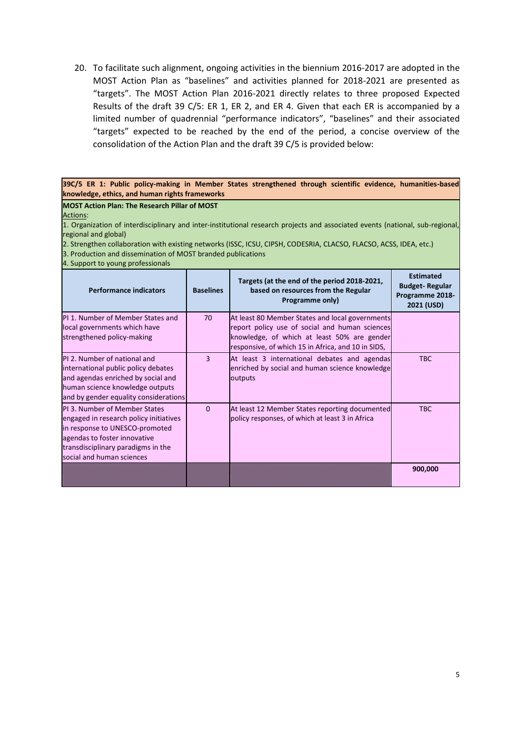20. To facilitate such alignment, ongoing activities in the biennium 2016-2017 are adopted in the MOST Action Plan as "baselines" and activities planned for 2018-2021 are presented as "targets". The MOST Action Plan 2016-2021 directly relates to three proposed Expected Results of the draft 39 C/5: ER 1, ER 2, and ER 4. Given that each ER is accompanied by a limited number of quadrennial "performance indicators", "baselines" and their associated "targets" expected to be reached by the end of the period, a concise overview of the consolidation of the Action Plan and the draft 39 C/5 is provided below:

#### **39C/5 ER 1: Public policy-making in Member States strengthened through scientific evidence, humanities-based knowledge, ethics, and human rights frameworks**

### **MOST Action Plan: The Research Pillar of MOST**

Actions:

1. Organization of interdisciplinary and inter-institutional research projects and associated events (national, sub-regional, regional and global)

2. Strengthen collaboration with existing networks (ISSC, ICSU, CIPSH, CODESRIA, CLACSO, FLACSO, ACSS, IDEA, etc.)

3. Production and dissemination of MOST branded publications

4. Support to young professionals

| <b>Performance indicators</b>                                                                                                                                                                               | <b>Baselines</b> | Targets (at the end of the period 2018-2021,<br>based on resources from the Regular<br>Programme only)                                                                                                 | <b>Estimated</b><br><b>Budget-Regular</b><br>Programme 2018-<br>2021 (USD) |
|-------------------------------------------------------------------------------------------------------------------------------------------------------------------------------------------------------------|------------------|--------------------------------------------------------------------------------------------------------------------------------------------------------------------------------------------------------|----------------------------------------------------------------------------|
| PI 1. Number of Member States and<br>local governments which have<br>strengthened policy-making                                                                                                             | 70               | At least 80 Member States and local governments<br>report policy use of social and human sciences<br>knowledge, of which at least 50% are gender<br>responsive, of which 15 in Africa, and 10 in SIDS, |                                                                            |
| PI 2. Number of national and<br>international public policy debates<br>and agendas enriched by social and<br>human science knowledge outputs<br>and by gender equality considerations                       | 3                | At least 3 international debates and agendas<br>enriched by social and human science knowledge<br>outputs                                                                                              | <b>TBC</b>                                                                 |
| PL3. Number of Member States<br>engaged in research policy initiatives<br>in response to UNESCO-promoted<br>agendas to foster innovative<br>transdisciplinary paradigms in the<br>social and human sciences | $\Omega$         | At least 12 Member States reporting documented<br>policy responses, of which at least 3 in Africa                                                                                                      | <b>TBC</b>                                                                 |
|                                                                                                                                                                                                             |                  |                                                                                                                                                                                                        | 900,000                                                                    |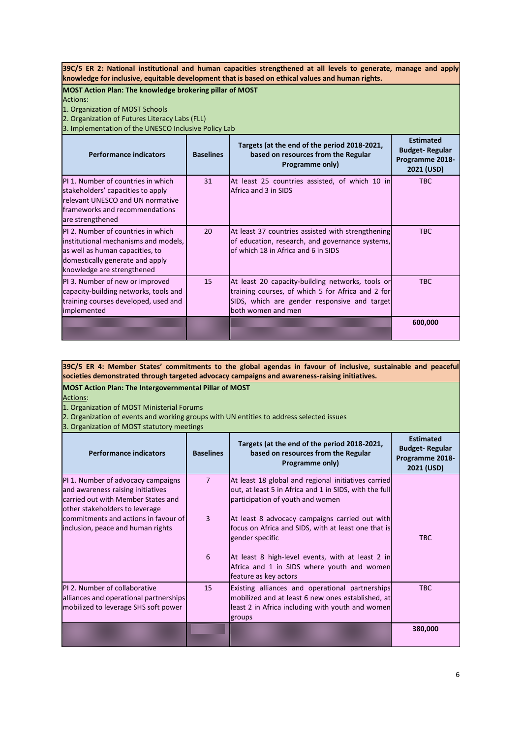**39C/5 ER 2: National institutional and human capacities strengthened at all levels to generate, manage and apply knowledge for inclusive, equitable development that is based on ethical values and human rights.**

**MOST Action Plan: The knowledge brokering pillar of MOST** Actions:

1. Organization of MOST Schools

2. Organization of Futures Literacy Labs (FLL)

s<br>alomentation of the UNESCO Inclusive Policy Lab

| is. implementation of the ONESCO inclusive Policy Lab                                                                                                                          |                  |                                                                                                                                                                             |                                                                            |  |
|--------------------------------------------------------------------------------------------------------------------------------------------------------------------------------|------------------|-----------------------------------------------------------------------------------------------------------------------------------------------------------------------------|----------------------------------------------------------------------------|--|
| <b>Performance indicators</b>                                                                                                                                                  | <b>Baselines</b> | Targets (at the end of the period 2018-2021,<br>based on resources from the Regular<br>Programme only)                                                                      | <b>Estimated</b><br><b>Budget-Regular</b><br>Programme 2018-<br>2021 (USD) |  |
| PI 1. Number of countries in which<br>stakeholders' capacities to apply<br>relevant UNESCO and UN normative<br>frameworks and recommendations<br>are strengthened              | 31               | At least 25 countries assisted, of which 10 in<br>Africa and 3 in SIDS                                                                                                      | <b>TBC</b>                                                                 |  |
| PI 2. Number of countries in which<br>institutional mechanisms and models,<br>as well as human capacities, to<br>domestically generate and apply<br>knowledge are strengthened | 20               | At least 37 countries assisted with strengthening<br>of education, research, and governance systems,<br>of which 18 in Africa and 6 in SIDS                                 | <b>TBC</b>                                                                 |  |
| PI 3. Number of new or improved<br>capacity-building networks, tools and<br>training courses developed, used and<br>implemented                                                | 15               | At least 20 capacity-building networks, tools or<br>training courses, of which 5 for Africa and 2 for<br>SIDS, which are gender responsive and target<br>both women and men | <b>TBC</b>                                                                 |  |
|                                                                                                                                                                                |                  |                                                                                                                                                                             | 600,000                                                                    |  |

**39C/5 ER 4: Member States' commitments to the global agendas in favour of inclusive, sustainable and peaceful societies demonstrated through targeted advocacy campaigns and awareness-raising initiatives.**

**MOST Action Plan: The Intergovernmental Pillar of MOST** Actions:

1. Organization of MOST Ministerial Forums

2. Organization of events and working groups with UN entities to address selected issues

3. Organization of MOST statutory meetings

| <b>Performance indicators</b>                                                                                                                   | <b>Baselines</b> | Targets (at the end of the period 2018-2021,<br>based on resources from the Regular<br>Programme only)                                                             | <b>Estimated</b><br><b>Budget-Regular</b><br>Programme 2018-<br>2021 (USD) |
|-------------------------------------------------------------------------------------------------------------------------------------------------|------------------|--------------------------------------------------------------------------------------------------------------------------------------------------------------------|----------------------------------------------------------------------------|
| PI 1. Number of advocacy campaigns<br>and awareness raising initiatives<br>carried out with Member States and<br>other stakeholders to leverage | $\overline{7}$   | At least 18 global and regional initiatives carried<br>out, at least 5 in Africa and 1 in SIDS, with the full<br>participation of youth and women                  |                                                                            |
| commitments and actions in favour of<br>inclusion, peace and human rights                                                                       | 3                | At least 8 advocacy campaigns carried out with<br>focus on Africa and SIDS, with at least one that is<br>gender specific                                           | <b>TBC</b>                                                                 |
|                                                                                                                                                 | 6                | At least 8 high-level events, with at least 2 in<br>Africa and 1 in SIDS where youth and women<br>feature as key actors                                            |                                                                            |
| PI 2. Number of collaborative<br>alliances and operational partnerships<br>mobilized to leverage SHS soft power                                 | 15               | Existing alliances and operational partnerships<br>mobilized and at least 6 new ones established, at<br>least 2 in Africa including with youth and women<br>groups | <b>TBC</b>                                                                 |
|                                                                                                                                                 |                  |                                                                                                                                                                    | 380,000                                                                    |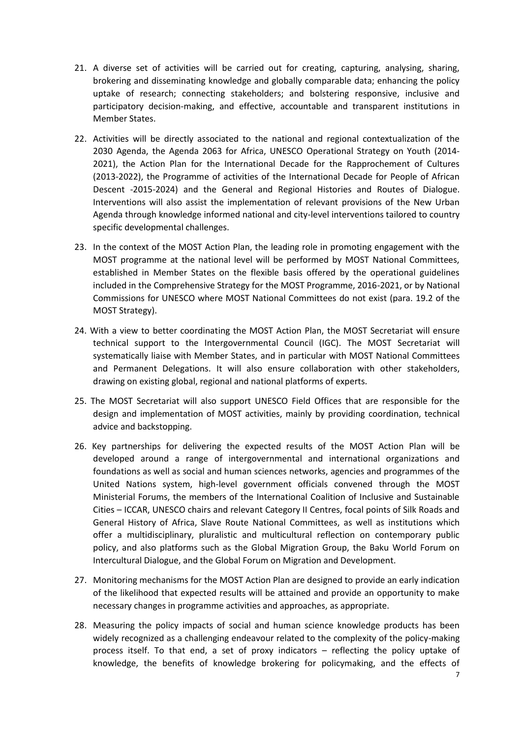- 21. A diverse set of activities will be carried out for creating, capturing, analysing, sharing, brokering and disseminating knowledge and globally comparable data; enhancing the policy uptake of research; connecting stakeholders; and bolstering responsive, inclusive and participatory decision-making, and effective, accountable and transparent institutions in Member States.
- 22. Activities will be directly associated to the national and regional contextualization of the 2030 Agenda, the Agenda 2063 for Africa, UNESCO Operational Strategy on Youth (2014- 2021), the Action Plan for the International Decade for the Rapprochement of Cultures (2013-2022), the Programme of activities of the International Decade for People of African Descent -2015-2024) and the General and Regional Histories and Routes of Dialogue. Interventions will also assist the implementation of relevant provisions of the New Urban Agenda through knowledge informed national and city-level interventions tailored to country specific developmental challenges.
- 23. In the context of the MOST Action Plan, the leading role in promoting engagement with the MOST programme at the national level will be performed by MOST National Committees, established in Member States on the flexible basis offered by the operational guidelines included in the Comprehensive Strategy for the MOST Programme, 2016-2021, or by National Commissions for UNESCO where MOST National Committees do not exist (para. 19.2 of the MOST Strategy).
- 24. With a view to better coordinating the MOST Action Plan, the MOST Secretariat will ensure technical support to the Intergovernmental Council (IGC). The MOST Secretariat will systematically liaise with Member States, and in particular with MOST National Committees and Permanent Delegations. It will also ensure collaboration with other stakeholders, drawing on existing global, regional and national platforms of experts.
- 25. The MOST Secretariat will also support UNESCO Field Offices that are responsible for the design and implementation of MOST activities, mainly by providing coordination, technical advice and backstopping.
- 26. Key partnerships for delivering the expected results of the MOST Action Plan will be developed around a range of intergovernmental and international organizations and foundations as well as social and human sciences networks, agencies and programmes of the United Nations system, high-level government officials convened through the MOST Ministerial Forums, the members of the International Coalition of Inclusive and Sustainable Cities – ICCAR, UNESCO chairs and relevant Category II Centres, focal points of Silk Roads and General History of Africa, Slave Route National Committees, as well as institutions which offer a multidisciplinary, pluralistic and multicultural reflection on contemporary public policy, and also platforms such as the Global Migration Group, the Baku World Forum on Intercultural Dialogue, and the Global Forum on Migration and Development.
- 27. Monitoring mechanisms for the MOST Action Plan are designed to provide an early indication of the likelihood that expected results will be attained and provide an opportunity to make necessary changes in programme activities and approaches, as appropriate.
- 28. Measuring the policy impacts of social and human science knowledge products has been widely recognized as a challenging endeavour related to the complexity of the policy-making process itself. To that end, a set of proxy indicators – reflecting the policy uptake of knowledge, the benefits of knowledge brokering for policymaking, and the effects of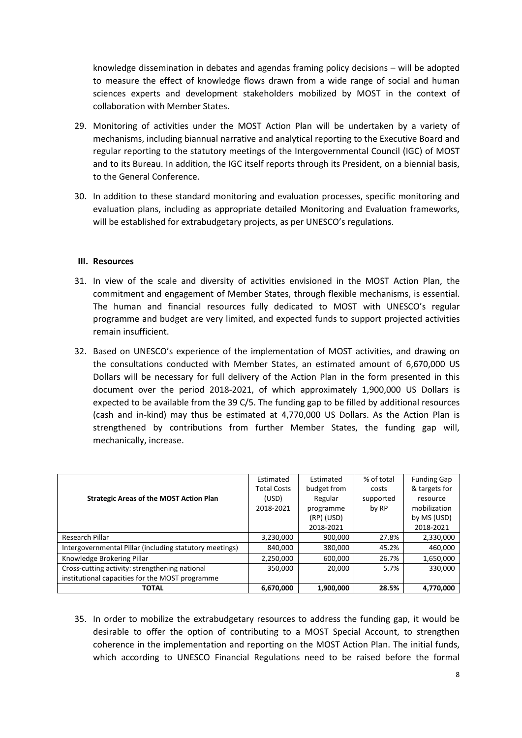knowledge dissemination in debates and agendas framing policy decisions – will be adopted to measure the effect of knowledge flows drawn from a wide range of social and human sciences experts and development stakeholders mobilized by MOST in the context of collaboration with Member States.

- 29. Monitoring of activities under the MOST Action Plan will be undertaken by a variety of mechanisms, including biannual narrative and analytical reporting to the Executive Board and regular reporting to the statutory meetings of the Intergovernmental Council (IGC) of MOST and to its Bureau. In addition, the IGC itself reports through its President, on a biennial basis, to the General Conference.
- 30. In addition to these standard monitoring and evaluation processes, specific monitoring and evaluation plans, including as appropriate detailed Monitoring and Evaluation frameworks, will be established for extrabudgetary projects, as per UNESCO's regulations.

### **III. Resources**

- 31. In view of the scale and diversity of activities envisioned in the MOST Action Plan, the commitment and engagement of Member States, through flexible mechanisms, is essential. The human and financial resources fully dedicated to MOST with UNESCO's regular programme and budget are very limited, and expected funds to support projected activities remain insufficient.
- 32. Based on UNESCO's experience of the implementation of MOST activities, and drawing on the consultations conducted with Member States, an estimated amount of 6,670,000 US Dollars will be necessary for full delivery of the Action Plan in the form presented in this document over the period 2018-2021, of which approximately 1,900,000 US Dollars is expected to be available from the 39 C/5. The funding gap to be filled by additional resources (cash and in-kind) may thus be estimated at 4,770,000 US Dollars. As the Action Plan is strengthened by contributions from further Member States, the funding gap will, mechanically, increase.

|                                                         | Estimated          | Estimated   | % of total | <b>Funding Gap</b> |
|---------------------------------------------------------|--------------------|-------------|------------|--------------------|
|                                                         | <b>Total Costs</b> | budget from | costs      | & targets for      |
| <b>Strategic Areas of the MOST Action Plan</b>          | (USD)              | Regular     | supported  | resource           |
|                                                         | 2018-2021          | programme   | by RP      | mobilization       |
|                                                         |                    | (RP) (USD)  |            | by MS (USD)        |
|                                                         |                    | 2018-2021   |            | 2018-2021          |
| Research Pillar                                         | 3,230,000          | 900,000     | 27.8%      | 2,330,000          |
| Intergovernmental Pillar (including statutory meetings) | 840,000            | 380,000     | 45.2%      | 460.000            |
| Knowledge Brokering Pillar                              | 2,250,000          | 600,000     | 26.7%      | 1,650,000          |
| Cross-cutting activity: strengthening national          | 350,000            | 20,000      | 5.7%       | 330,000            |
| institutional capacities for the MOST programme         |                    |             |            |                    |
| <b>TOTAL</b>                                            | 6,670,000          | 1,900,000   | 28.5%      | 4.770.000          |

35. In order to mobilize the extrabudgetary resources to address the funding gap, it would be desirable to offer the option of contributing to a MOST Special Account, to strengthen coherence in the implementation and reporting on the MOST Action Plan. The initial funds, which according to UNESCO Financial Regulations need to be raised before the formal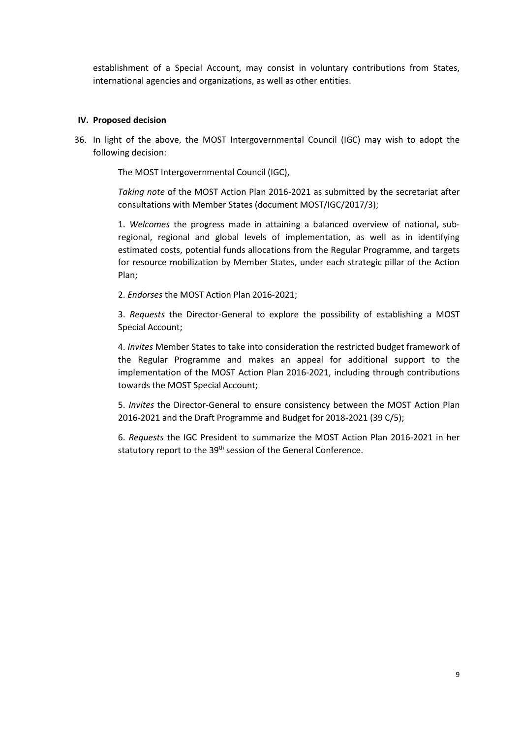establishment of a Special Account, may consist in voluntary contributions from States, international agencies and organizations, as well as other entities.

### **IV. Proposed decision**

36. In light of the above, the MOST Intergovernmental Council (IGC) may wish to adopt the following decision:

The MOST Intergovernmental Council (IGC),

*Taking note* of the MOST Action Plan 2016-2021 as submitted by the secretariat after consultations with Member States (document MOST/IGC/2017/3);

1. *Welcomes* the progress made in attaining a balanced overview of national, subregional, regional and global levels of implementation, as well as in identifying estimated costs, potential funds allocations from the Regular Programme, and targets for resource mobilization by Member States, under each strategic pillar of the Action Plan;

2. *Endorses* the MOST Action Plan 2016-2021;

3. *Requests* the Director-General to explore the possibility of establishing a MOST Special Account;

4. *Invites* Member States to take into consideration the restricted budget framework of the Regular Programme and makes an appeal for additional support to the implementation of the MOST Action Plan 2016-2021, including through contributions towards the MOST Special Account;

5. *Invites* the Director-General to ensure consistency between the MOST Action Plan 2016-2021 and the Draft Programme and Budget for 2018-2021 (39 C/5);

6. *Requests* the IGC President to summarize the MOST Action Plan 2016-2021 in her statutory report to the 39<sup>th</sup> session of the General Conference.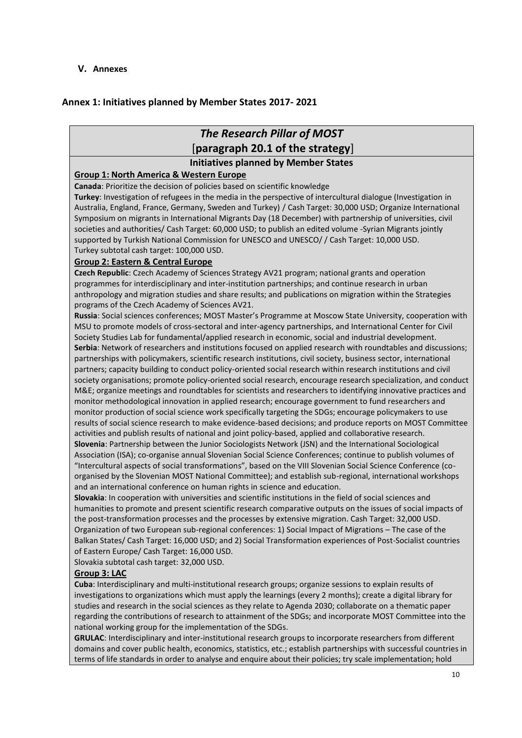**V. Annexes**

### **Annex 1: Initiatives planned by Member States 2017- 2021**

## *The Research Pillar of MOST* [**paragraph 20.1 of the strategy**]

### **Initiatives planned by Member States**

### **Group 1: North America & Western Europe**

**Canada**: Prioritize the decision of policies based on scientific knowledge

**Turkey**: Investigation of refugees in the media in the perspective of intercultural dialogue (Investigation in Australia, England, France, Germany, Sweden and Turkey) / Cash Target: 30,000 USD; Organize International Symposium on migrants in International Migrants Day (18 December) with partnership of universities, civil societies and authorities/ Cash Target: 60,000 USD; to publish an edited volume -Syrian Migrants jointly supported by Turkish National Commission for UNESCO and UNESCO/ / Cash Target: 10,000 USD. Turkey subtotal cash target: 100,000 USD.

### **Group 2: Eastern & Central Europe**

**Czech Republic**: Czech Academy of Sciences Strategy AV21 program; national grants and operation programmes for interdisciplinary and inter-institution partnerships; and continue research in urban anthropology and migration studies and share results; and publications on migration within the Strategies programs of the Czech Academy of Sciences AV21.

**Russia**: Social sciences conferences; MOST Master's Programme at Moscow State University, cooperation with MSU to promote models of cross-sectoral and inter-agency partnerships, and International Center for Civil Society Studies Lab for fundamental/applied research in economic, social and industrial development. **Serbia**: Network of researchers and institutions focused on applied research with roundtables and discussions; partnerships with policymakers, scientific research institutions, civil society, business sector, international partners; capacity building to conduct policy-oriented social research within research institutions and civil society organisations; promote policy-oriented social research, encourage research specialization, and conduct M&E; organize meetings and roundtables for scientists and researchers to identifying innovative practices and monitor methodological innovation in applied research; encourage government to fund researchers and monitor production of social science work specifically targeting the SDGs; encourage policymakers to use results of social science research to make evidence-based decisions; and produce reports on MOST Committee activities and publish results of national and joint policy-based, applied and collaborative research.

**Slovenia**: Partnership between the Junior Sociologists Network (JSN) and the International Sociological Association (ISA); co-organise annual Slovenian Social Science Conferences; continue to publish volumes of "Intercultural aspects of social transformations", based on the VIII Slovenian Social Science Conference (coorganised by the Slovenian MOST National Committee); and establish sub-regional, international workshops and an international conference on human rights in science and education.

**Slovakia**: In cooperation with universities and scientific institutions in the field of social sciences and humanities to promote and present scientific research comparative outputs on the issues of social impacts of the post-transformation processes and the processes by extensive migration. Cash Target: 32,000 USD. Organization of two European sub-regional conferences: 1) Social Impact of Migrations – The case of the Balkan States/ Cash Target: 16,000 USD; and 2) Social Transformation experiences of Post-Socialist countries of Eastern Europe/ Cash Target: 16,000 USD.

Slovakia subtotal cash target: 32,000 USD.

### **Group 3: LAC**

**Cuba**: Interdisciplinary and multi-institutional research groups; organize sessions to explain results of investigations to organizations which must apply the learnings (every 2 months); create a digital library for studies and research in the social sciences as they relate to Agenda 2030; collaborate on a thematic paper regarding the contributions of research to attainment of the SDGs; and incorporate MOST Committee into the national working group for the implementation of the SDGs.

**GRULAC**: Interdisciplinary and inter-institutional research groups to incorporate researchers from different domains and cover public health, economics, statistics, etc.; establish partnerships with successful countries in terms of life standards in order to analyse and enquire about their policies; try scale implementation; hold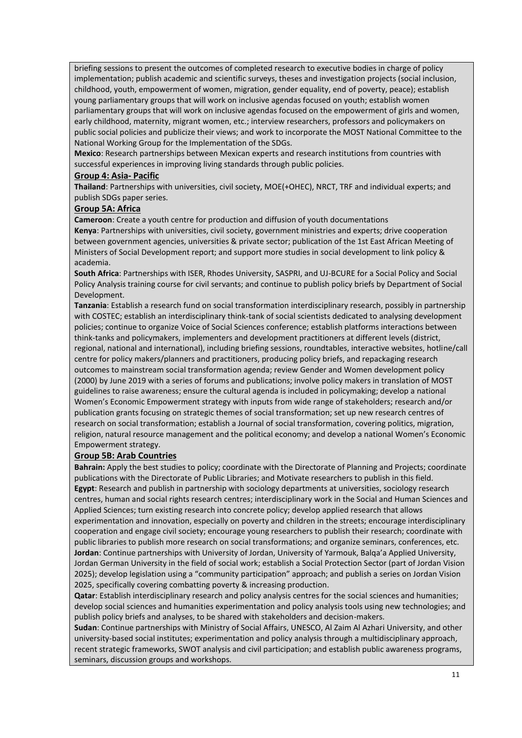briefing sessions to present the outcomes of completed research to executive bodies in charge of policy implementation; publish academic and scientific surveys, theses and investigation projects (social inclusion, childhood, youth, empowerment of women, migration, gender equality, end of poverty, peace); establish young parliamentary groups that will work on inclusive agendas focused on youth; establish women parliamentary groups that will work on inclusive agendas focused on the empowerment of girls and women, early childhood, maternity, migrant women, etc.; interview researchers, professors and policymakers on public social policies and publicize their views; and work to incorporate the MOST National Committee to the National Working Group for the Implementation of the SDGs.

**Mexico**: Research partnerships between Mexican experts and research institutions from countries with successful experiences in improving living standards through public policies.

### **Group 4: Asia- Pacific**

**Thailand**: Partnerships with universities, civil society, MOE(+OHEC), NRCT, TRF and individual experts; and publish SDGs paper series.

### **Group 5A: Africa**

**Cameroon**: Create a youth centre for production and diffusion of youth documentations

**Kenya**: Partnerships with universities, civil society, government ministries and experts; drive cooperation between government agencies, universities & private sector; publication of the 1st East African Meeting of Ministers of Social Development report; and support more studies in social development to link policy & academia.

**South Africa**: Partnerships with ISER, Rhodes University, SASPRI, and UJ-BCURE for a Social Policy and Social Policy Analysis training course for civil servants; and continue to publish policy briefs by Department of Social Development.

**Tanzania**: Establish a research fund on social transformation interdisciplinary research, possibly in partnership with COSTEC; establish an interdisciplinary think-tank of social scientists dedicated to analysing development policies; continue to organize Voice of Social Sciences conference; establish platforms interactions between think-tanks and policymakers, implementers and development practitioners at different levels (district, regional, national and international), including briefing sessions, roundtables, interactive websites, hotline/call centre for policy makers/planners and practitioners, producing policy briefs, and repackaging research outcomes to mainstream social transformation agenda; review Gender and Women development policy (2000) by June 2019 with a series of forums and publications; involve policy makers in translation of MOST guidelines to raise awareness; ensure the cultural agenda is included in policymaking; develop a national Women's Economic Empowerment strategy with inputs from wide range of stakeholders; research and/or publication grants focusing on strategic themes of social transformation; set up new research centres of research on social transformation; establish a Journal of social transformation, covering politics, migration, religion, natural resource management and the political economy; and develop a national Women's Economic Empowerment strategy.

### **Group 5B: Arab Countries**

**Bahrain:** Apply the best studies to policy; coordinate with the Directorate of Planning and Projects; coordinate publications with the Directorate of Public Libraries; and Motivate researchers to publish in this field. **Egypt**: Research and publish in partnership with sociology departments at universities, sociology research centres, human and social rights research centres; interdisciplinary work in the Social and Human Sciences and Applied Sciences; turn existing research into concrete policy; develop applied research that allows experimentation and innovation, especially on poverty and children in the streets; encourage interdisciplinary cooperation and engage civil society; encourage young researchers to publish their research; coordinate with public libraries to publish more research on social transformations; and organize seminars, conferences, etc. **Jordan**: Continue partnerships with University of Jordan, University of Yarmouk, Balqa'a Applied University, Jordan German University in the field of social work; establish a Social Protection Sector (part of Jordan Vision 2025); develop legislation using a "community participation" approach; and publish a series on Jordan Vision 2025, specifically covering combatting poverty & increasing production.

**Qatar**: Establish interdisciplinary research and policy analysis centres for the social sciences and humanities; develop social sciences and humanities experimentation and policy analysis tools using new technologies; and publish policy briefs and analyses, to be shared with stakeholders and decision-makers.

**Sudan**: Continue partnerships with Ministry of Social Affairs, UNESCO, Al Zaim Al Azhari University, and other university-based social institutes; experimentation and policy analysis through a multidisciplinary approach, recent strategic frameworks, SWOT analysis and civil participation; and establish public awareness programs, seminars, discussion groups and workshops.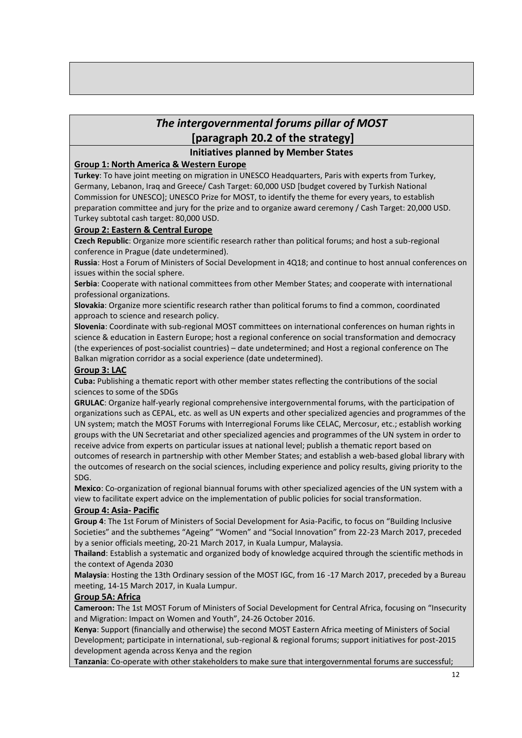# *The intergovernmental forums pillar of MOST* **[paragraph 20.2 of the strategy]**

### **Initiatives planned by Member States**

### **Group 1: North America & Western Europe**

**Turkey**: To have joint meeting on migration in UNESCO Headquarters, Paris with experts from Turkey, Germany, Lebanon, Iraq and Greece/ Cash Target: 60,000 USD [budget covered by Turkish National Commission for UNESCO]; UNESCO Prize for MOST, to identify the theme for every years, to establish preparation committee and jury for the prize and to organize award ceremony / Cash Target: 20,000 USD. Turkey subtotal cash target: 80,000 USD.

### **Group 2: Eastern & Central Europe**

**Czech Republic**: Organize more scientific research rather than political forums; and host a sub-regional conference in Prague (date undetermined).

**Russia**: Host a Forum of Ministers of Social Development in 4Q18; and continue to host annual conferences on issues within the social sphere.

**Serbia**: Cooperate with national committees from other Member States; and cooperate with international professional organizations.

**Slovakia**: Organize more scientific research rather than political forums to find a common, coordinated approach to science and research policy.

**Slovenia**: Coordinate with sub-regional MOST committees on international conferences on human rights in science & education in Eastern Europe; host a regional conference on social transformation and democracy (the experiences of post-socialist countries) – date undetermined; and Host a regional conference on The Balkan migration corridor as a social experience (date undetermined).

### **Group 3: LAC**

**Cuba:** Publishing a thematic report with other member states reflecting the contributions of the social sciences to some of the SDGs

**GRULAC**: Organize half-yearly regional comprehensive intergovernmental forums, with the participation of organizations such as CEPAL, etc. as well as UN experts and other specialized agencies and programmes of the UN system; match the MOST Forums with Interregional Forums like CELAC, Mercosur, etc.; establish working groups with the UN Secretariat and other specialized agencies and programmes of the UN system in order to receive advice from experts on particular issues at national level; publish a thematic report based on outcomes of research in partnership with other Member States; and establish a web-based global library with the outcomes of research on the social sciences, including experience and policy results, giving priority to the SDG.

**Mexico**: Co-organization of regional biannual forums with other specialized agencies of the UN system with a view to facilitate expert advice on the implementation of public policies for social transformation.

### **Group 4: Asia- Pacific**

**Group 4**: The 1st Forum of Ministers of Social Development for Asia-Pacific, to focus on "Building Inclusive Societies" and the subthemes "Ageing" "Women" and "Social Innovation" from 22-23 March 2017, preceded by a senior officials meeting, 20-21 March 2017, in Kuala Lumpur, Malaysia.

**Thailand**: Establish a systematic and organized body of knowledge acquired through the scientific methods in the context of Agenda 2030

**Malaysia**: Hosting the 13th Ordinary session of the MOST IGC, from 16 -17 March 2017, preceded by a Bureau meeting, 14-15 March 2017, in Kuala Lumpur.

### **Group 5A: Africa**

**Cameroon:** The 1st MOST Forum of Ministers of Social Development for Central Africa, focusing on "Insecurity and Migration: Impact on Women and Youth", 24-26 October 2016.

**Kenya**: Support (financially and otherwise) the second MOST Eastern Africa meeting of Ministers of Social Development; participate in international, sub-regional & regional forums; support initiatives for post-2015 development agenda across Kenya and the region

**Tanzania**: Co-operate with other stakeholders to make sure that intergovernmental forums are successful;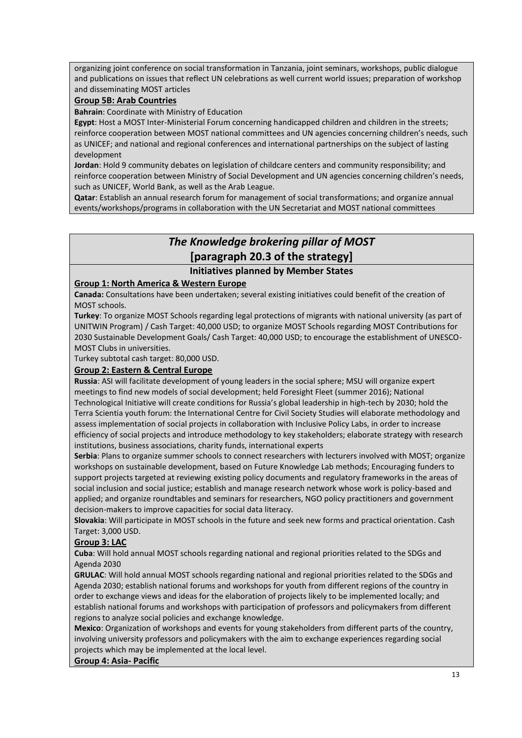organizing joint conference on social transformation in Tanzania, joint seminars, workshops, public dialogue and publications on issues that reflect UN celebrations as well current world issues; preparation of workshop and disseminating MOST articles

### **Group 5B: Arab Countries**

**Bahrain**: Coordinate with Ministry of Education

**Egypt**: Host a MOST Inter-Ministerial Forum concerning handicapped children and children in the streets; reinforce cooperation between MOST national committees and UN agencies concerning children's needs, such as UNICEF; and national and regional conferences and international partnerships on the subject of lasting development

**Jordan**: Hold 9 community debates on legislation of childcare centers and community responsibility; and reinforce cooperation between Ministry of Social Development and UN agencies concerning children's needs, such as UNICEF, World Bank, as well as the Arab League.

**Qatar**: Establish an annual research forum for management of social transformations; and organize annual events/workshops/programs in collaboration with the UN Secretariat and MOST national committees

# *The Knowledge brokering pillar of MOST* **[paragraph 20.3 of the strategy]**

### **Initiatives planned by Member States**

### **Group 1: North America & Western Europe**

**Canada:** Consultations have been undertaken; several existing initiatives could benefit of the creation of MOST schools.

**Turkey**: To organize MOST Schools regarding legal protections of migrants with national university (as part of UNITWIN Program) / Cash Target: 40,000 USD; to organize MOST Schools regarding MOST Contributions for 2030 Sustainable Development Goals/ Cash Target: 40,000 USD; to encourage the establishment of UNESCO-MOST Clubs in universities.

Turkey subtotal cash target: 80,000 USD.

### **Group 2: Eastern & Central Europe**

**Russia**: ASI will facilitate development of young leaders in the social sphere; MSU will organize expert meetings to find new models of social development; held Foresight Fleet (summer 2016); National Technological Initiative will create conditions for Russia's global leadership in high-tech by 2030; hold the Terra Scientia youth forum: the International Centre for Civil Society Studies will elaborate methodology and assess implementation of social projects in collaboration with Inclusive Policy Labs, in order to increase efficiency of social projects and introduce methodology to key stakeholders; elaborate strategy with research institutions, business associations, charity funds, international experts

**Serbia**: Plans to organize summer schools to connect researchers with lecturers involved with MOST; organize workshops on sustainable development, based on Future Knowledge Lab methods; Encouraging funders to support projects targeted at reviewing existing policy documents and regulatory frameworks in the areas of social inclusion and social justice; establish and manage research network whose work is policy-based and applied; and organize roundtables and seminars for researchers, NGO policy practitioners and government decision-makers to improve capacities for social data literacy.

**Slovakia**: Will participate in MOST schools in the future and seek new forms and practical orientation. Cash Target: 3,000 USD.

### **Group 3: LAC**

**Cuba**: Will hold annual MOST schools regarding national and regional priorities related to the SDGs and Agenda 2030

**GRULAC**: Will hold annual MOST schools regarding national and regional priorities related to the SDGs and Agenda 2030; establish national forums and workshops for youth from different regions of the country in order to exchange views and ideas for the elaboration of projects likely to be implemented locally; and establish national forums and workshops with participation of professors and policymakers from different regions to analyze social policies and exchange knowledge.

**Mexico**: Organization of workshops and events for young stakeholders from different parts of the country, involving university professors and policymakers with the aim to exchange experiences regarding social projects which may be implemented at the local level.

### **Group 4: Asia- Pacific**